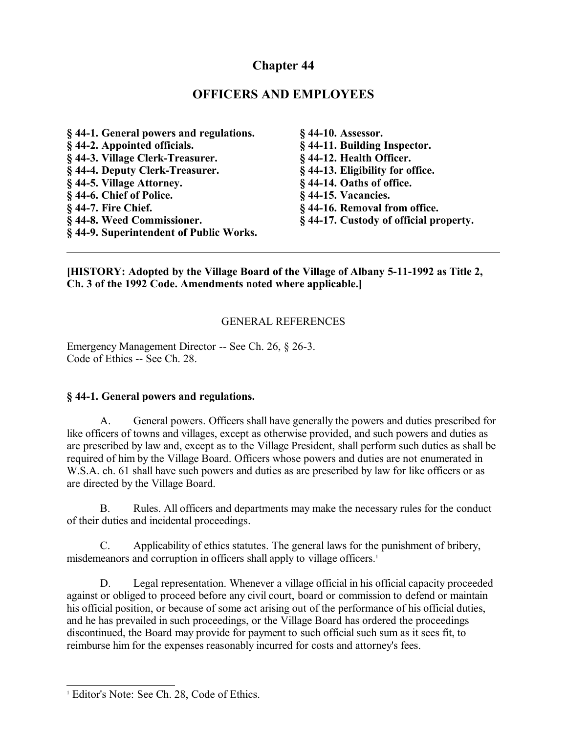# **Chapter 44**

# **OFFICERS AND EMPLOYEES**

**§ 44-1. General powers and regulations. § 44-2. Appointed officials. § 44-3. Village Clerk-Treasurer. § 44-4. Deputy Clerk-Treasurer. § 44-5. Village Attorney. § 44-6. Chief of Police. § 44-7. Fire Chief. § 44-8. Weed Commissioner. § 44-9. Superintendent of Public Works. § 44-10. Assessor.**

**§ 44-11. Building Inspector. § 44-12. Health Officer. § 44-13. Eligibility for office. § 44-14. Oaths of office. § 44-15. Vacancies. § 44-16. Removal from office. § 44-17. Custody of official property.**

#### **[HISTORY: Adopted by the Village Board of the Village of Albany 5-11-1992 as Title 2, Ch. 3 of the 1992 Code. Amendments noted where applicable.]**

### GENERAL REFERENCES

Emergency Management Director -- See Ch. 26, § 26-3. Code of Ethics -- See Ch. 28.

#### **§ 44-1. General powers and regulations.**

A. General powers. Officers shall have generally the powers and duties prescribed for like officers of towns and villages, except as otherwise provided, and such powers and duties as are prescribed by law and, except as to the Village President, shall perform such duties as shall be required of him by the Village Board. Officers whose powers and duties are not enumerated in W.S.A. ch. 61 shall have such powers and duties as are prescribed by law for like officers or as are directed by the Village Board.

B. Rules. All officers and departments may make the necessary rules for the conduct of their duties and incidental proceedings.

C. Applicability of ethics statutes. The general laws for the punishment of bribery, misdemeanors and corruption in officers shall apply to village officers.<sup>[1](#page-0-0)</sup>

D. Legal representation. Whenever a village official in his official capacity proceeded against or obliged to proceed before any civil court, board or commission to defend or maintain his official position, or because of some act arising out of the performance of his official duties, and he has prevailed in such proceedings, or the Village Board has ordered the proceedings discontinued, the Board may provide for payment to such official such sum as it sees fit, to reimburse him for the expenses reasonably incurred for costs and attorney's fees.

<span id="page-0-0"></span><sup>&</sup>lt;sup>1</sup> Editor's Note: See Ch. 28, Code of Ethics.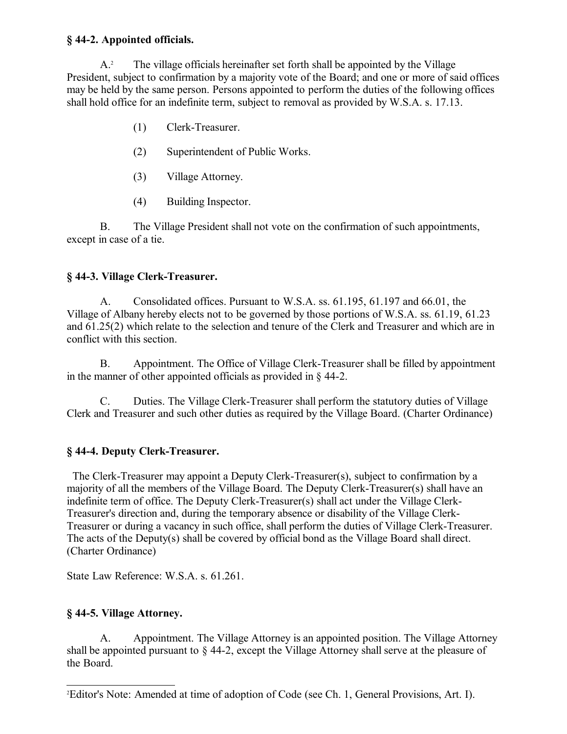#### **§ 44-2. Appointed officials.**

A.[2](#page-1-0) The village officials hereinafter set forth shall be appointed by the Village President, subject to confirmation by a majority vote of the Board; and one or more of said offices may be held by the same person. Persons appointed to perform the duties of the following offices shall hold office for an indefinite term, subject to removal as provided by W.S.A. s. 17.13.

- (1) Clerk-Treasurer.
- (2) Superintendent of Public Works.
- (3) Village Attorney.
- (4) Building Inspector.

B. The Village President shall not vote on the confirmation of such appointments, except in case of a tie.

### **§ 44-3. Village Clerk-Treasurer.**

A. Consolidated offices. Pursuant to W.S.A. ss. 61.195, 61.197 and 66.01, the Village of Albany hereby elects not to be governed by those portions of W.S.A. ss. 61.19, 61.23 and 61.25(2) which relate to the selection and tenure of the Clerk and Treasurer and which are in conflict with this section.

B. Appointment. The Office of Village Clerk-Treasurer shall be filled by appointment in the manner of other appointed officials as provided in § 44-2.

C. Duties. The Village Clerk-Treasurer shall perform the statutory duties of Village Clerk and Treasurer and such other duties as required by the Village Board. (Charter Ordinance)

### **§ 44-4. Deputy Clerk-Treasurer.**

 The Clerk-Treasurer may appoint a Deputy Clerk-Treasurer(s), subject to confirmation by a majority of all the members of the Village Board. The Deputy Clerk-Treasurer(s) shall have an indefinite term of office. The Deputy Clerk-Treasurer(s) shall act under the Village Clerk-Treasurer's direction and, during the temporary absence or disability of the Village Clerk-Treasurer or during a vacancy in such office, shall perform the duties of Village Clerk-Treasurer. The acts of the Deputy(s) shall be covered by official bond as the Village Board shall direct. (Charter Ordinance)

State Law Reference: W.S.A. s. 61.261.

### **§ 44-5. Village Attorney.**

A. Appointment. The Village Attorney is an appointed position. The Village Attorney shall be appointed pursuant to § 44-2, except the Village Attorney shall serve at the pleasure of the Board.

<span id="page-1-0"></span><sup>2</sup>Editor's Note: Amended at time of adoption of Code (see Ch. 1, General Provisions, Art. I).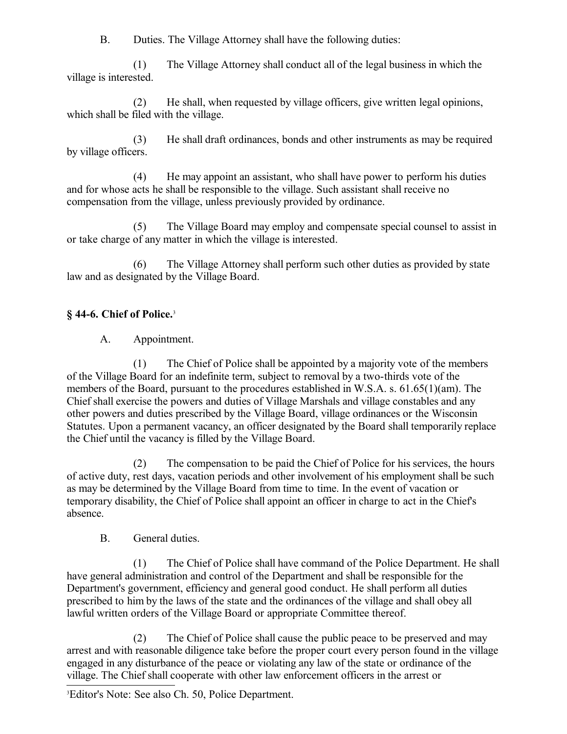B. Duties. The Village Attorney shall have the following duties:

(1) The Village Attorney shall conduct all of the legal business in which the village is interested.

(2) He shall, when requested by village officers, give written legal opinions, which shall be filed with the village.

(3) He shall draft ordinances, bonds and other instruments as may be required by village officers.

(4) He may appoint an assistant, who shall have power to perform his duties and for whose acts he shall be responsible to the village. Such assistant shall receive no compensation from the village, unless previously provided by ordinance.

(5) The Village Board may employ and compensate special counsel to assist in or take charge of any matter in which the village is interested.

(6) The Village Attorney shall perform such other duties as provided by state law and as designated by the Village Board.

# **§ 44-6. Chief of Police.**[3](#page-2-0)

A. Appointment.

(1) The Chief of Police shall be appointed by a majority vote of the members of the Village Board for an indefinite term, subject to removal by a two-thirds vote of the members of the Board, pursuant to the procedures established in W.S.A. s. 61.65(1)(am). The Chief shall exercise the powers and duties of Village Marshals and village constables and any other powers and duties prescribed by the Village Board, village ordinances or the Wisconsin Statutes. Upon a permanent vacancy, an officer designated by the Board shall temporarily replace the Chief until the vacancy is filled by the Village Board.

(2) The compensation to be paid the Chief of Police for his services, the hours of active duty, rest days, vacation periods and other involvement of his employment shall be such as may be determined by the Village Board from time to time. In the event of vacation or temporary disability, the Chief of Police shall appoint an officer in charge to act in the Chief's absence.

B. General duties.

(1) The Chief of Police shall have command of the Police Department. He shall have general administration and control of the Department and shall be responsible for the Department's government, efficiency and general good conduct. He shall perform all duties prescribed to him by the laws of the state and the ordinances of the village and shall obey all lawful written orders of the Village Board or appropriate Committee thereof.

(2) The Chief of Police shall cause the public peace to be preserved and may arrest and with reasonable diligence take before the proper court every person found in the village engaged in any disturbance of the peace or violating any law of the state or ordinance of the village. The Chief shall cooperate with other law enforcement officers in the arrest or

<span id="page-2-0"></span><sup>3</sup>Editor's Note: See also Ch. 50, Police Department.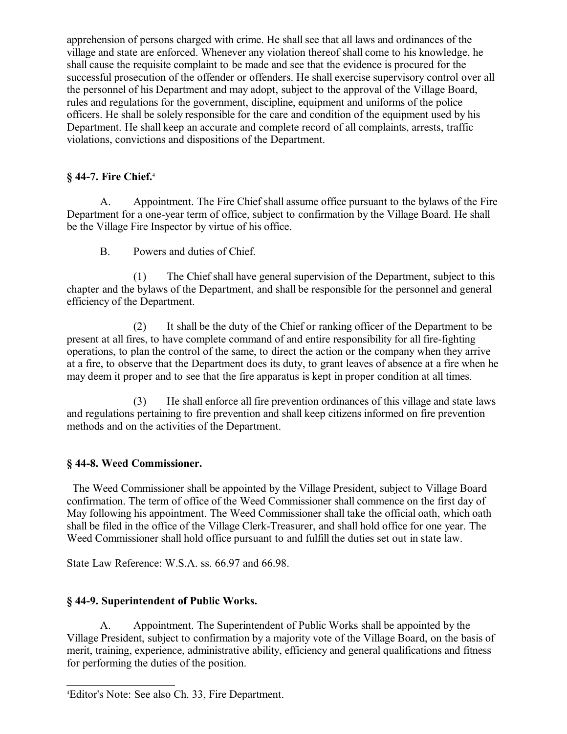apprehension of persons charged with crime. He shall see that all laws and ordinances of the village and state are enforced. Whenever any violation thereof shall come to his knowledge, he shall cause the requisite complaint to be made and see that the evidence is procured for the successful prosecution of the offender or offenders. He shall exercise supervisory control over all the personnel of his Department and may adopt, subject to the approval of the Village Board, rules and regulations for the government, discipline, equipment and uniforms of the police officers. He shall be solely responsible for the care and condition of the equipment used by his Department. He shall keep an accurate and complete record of all complaints, arrests, traffic violations, convictions and dispositions of the Department.

#### **§ 44-7. Fire Chief.**[4](#page-3-0)

A. Appointment. The Fire Chief shall assume office pursuant to the bylaws of the Fire Department for a one-year term of office, subject to confirmation by the Village Board. He shall be the Village Fire Inspector by virtue of his office.

B. Powers and duties of Chief.

(1) The Chief shall have general supervision of the Department, subject to this chapter and the bylaws of the Department, and shall be responsible for the personnel and general efficiency of the Department.

(2) It shall be the duty of the Chief or ranking officer of the Department to be present at all fires, to have complete command of and entire responsibility for all fire-fighting operations, to plan the control of the same, to direct the action or the company when they arrive at a fire, to observe that the Department does its duty, to grant leaves of absence at a fire when he may deem it proper and to see that the fire apparatus is kept in proper condition at all times.

(3) He shall enforce all fire prevention ordinances of this village and state laws and regulations pertaining to fire prevention and shall keep citizens informed on fire prevention methods and on the activities of the Department.

#### **§ 44-8. Weed Commissioner.**

 The Weed Commissioner shall be appointed by the Village President, subject to Village Board confirmation. The term of office of the Weed Commissioner shall commence on the first day of May following his appointment. The Weed Commissioner shall take the official oath, which oath shall be filed in the office of the Village Clerk-Treasurer, and shall hold office for one year. The Weed Commissioner shall hold office pursuant to and fulfill the duties set out in state law.

State Law Reference: W.S.A. ss. 66.97 and 66.98.

#### **§ 44-9. Superintendent of Public Works.**

A. Appointment. The Superintendent of Public Works shall be appointed by the Village President, subject to confirmation by a majority vote of the Village Board, on the basis of merit, training, experience, administrative ability, efficiency and general qualifications and fitness for performing the duties of the position.

<span id="page-3-0"></span><sup>4</sup>Editor's Note: See also Ch. 33, Fire Department.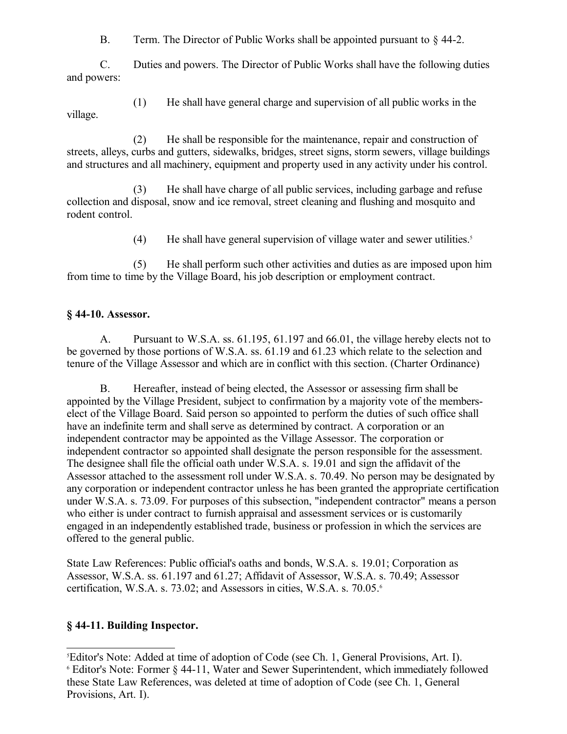B. Term. The Director of Public Works shall be appointed pursuant to  $\S$  44-2.

C. Duties and powers. The Director of Public Works shall have the following duties and powers:

(1) He shall have general charge and supervision of all public works in the village.

(2) He shall be responsible for the maintenance, repair and construction of streets, alleys, curbs and gutters, sidewalks, bridges, street signs, storm sewers, village buildings and structures and all machinery, equipment and property used in any activity under his control.

(3) He shall have charge of all public services, including garbage and refuse collection and disposal, snow and ice removal, street cleaning and flushing and mosquito and rodent control.

(4) He shall have general supervision of village water and sewer utilities.<sup>[5](#page-4-0)</sup>

(5) He shall perform such other activities and duties as are imposed upon him from time to time by the Village Board, his job description or employment contract.

### **§ 44-10. Assessor.**

A. Pursuant to W.S.A. ss. 61.195, 61.197 and 66.01, the village hereby elects not to be governed by those portions of W.S.A. ss. 61.19 and 61.23 which relate to the selection and tenure of the Village Assessor and which are in conflict with this section. (Charter Ordinance)

B. Hereafter, instead of being elected, the Assessor or assessing firm shall be appointed by the Village President, subject to confirmation by a majority vote of the memberselect of the Village Board. Said person so appointed to perform the duties of such office shall have an indefinite term and shall serve as determined by contract. A corporation or an independent contractor may be appointed as the Village Assessor. The corporation or independent contractor so appointed shall designate the person responsible for the assessment. The designee shall file the official oath under W.S.A. s. 19.01 and sign the affidavit of the Assessor attached to the assessment roll under W.S.A. s. 70.49. No person may be designated by any corporation or independent contractor unless he has been granted the appropriate certification under W.S.A. s. 73.09. For purposes of this subsection, "independent contractor" means a person who either is under contract to furnish appraisal and assessment services or is customarily engaged in an independently established trade, business or profession in which the services are offered to the general public.

State Law References: Public official's oaths and bonds, W.S.A. s. 19.01; Corporation as Assessor, W.S.A. ss. 61.197 and 61.27; Affidavit of Assessor, W.S.A. s. 70.49; Assessor certification, W.S.A. s. 73.02; and Assessors in cities, W.S.A. s. 70.05.[6](#page-4-1)

### **§ 44-11. Building Inspector.**

<span id="page-4-1"></span><span id="page-4-0"></span><sup>5</sup>Editor's Note: Added at time of adoption of Code (see Ch. 1, General Provisions, Art. I). 6 Editor's Note: Former § 44-11, Water and Sewer Superintendent, which immediately followed these State Law References, was deleted at time of adoption of Code (see Ch. 1, General Provisions, Art. I).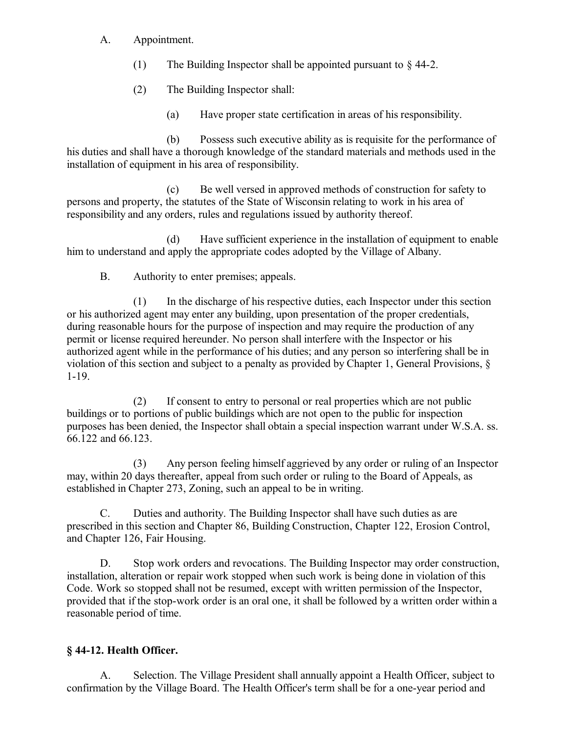- A. Appointment.
	- (1) The Building Inspector shall be appointed pursuant to  $\& 44-2$ .
	- (2) The Building Inspector shall:
		- (a) Have proper state certification in areas of his responsibility.

(b) Possess such executive ability as is requisite for the performance of his duties and shall have a thorough knowledge of the standard materials and methods used in the installation of equipment in his area of responsibility.

(c) Be well versed in approved methods of construction for safety to persons and property, the statutes of the State of Wisconsin relating to work in his area of responsibility and any orders, rules and regulations issued by authority thereof.

(d) Have sufficient experience in the installation of equipment to enable him to understand and apply the appropriate codes adopted by the Village of Albany.

B. Authority to enter premises; appeals.

(1) In the discharge of his respective duties, each Inspector under this section or his authorized agent may enter any building, upon presentation of the proper credentials, during reasonable hours for the purpose of inspection and may require the production of any permit or license required hereunder. No person shall interfere with the Inspector or his authorized agent while in the performance of his duties; and any person so interfering shall be in violation of this section and subject to a penalty as provided by Chapter 1, General Provisions, § 1-19.

(2) If consent to entry to personal or real properties which are not public buildings or to portions of public buildings which are not open to the public for inspection purposes has been denied, the Inspector shall obtain a special inspection warrant under W.S.A. ss. 66.122 and 66.123.

(3) Any person feeling himself aggrieved by any order or ruling of an Inspector may, within 20 days thereafter, appeal from such order or ruling to the Board of Appeals, as established in Chapter 273, Zoning, such an appeal to be in writing.

C. Duties and authority. The Building Inspector shall have such duties as are prescribed in this section and Chapter 86, Building Construction, Chapter 122, Erosion Control, and Chapter 126, Fair Housing.

D. Stop work orders and revocations. The Building Inspector may order construction, installation, alteration or repair work stopped when such work is being done in violation of this Code. Work so stopped shall not be resumed, except with written permission of the Inspector, provided that if the stop-work order is an oral one, it shall be followed by a written order within a reasonable period of time.

#### **§ 44-12. Health Officer.**

A. Selection. The Village President shall annually appoint a Health Officer, subject to confirmation by the Village Board. The Health Officer's term shall be for a one-year period and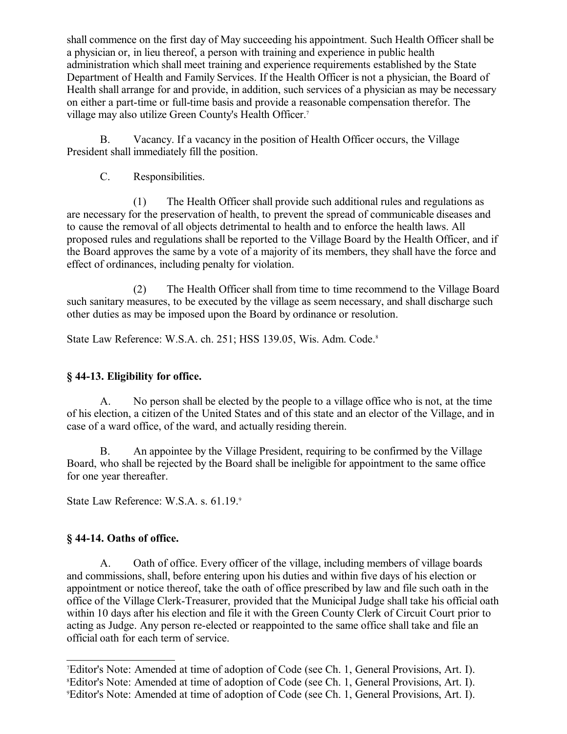shall commence on the first day of May succeeding his appointment. Such Health Officer shall be a physician or, in lieu thereof, a person with training and experience in public health administration which shall meet training and experience requirements established by the State Department of Health and Family Services. If the Health Officer is not a physician, the Board of Health shall arrange for and provide, in addition, such services of a physician as may be necessary on either a part-time or full-time basis and provide a reasonable compensation therefor. The village may also utilize Green County's Health Officer.[7](#page-6-0)

B. Vacancy. If a vacancy in the position of Health Officer occurs, the Village President shall immediately fill the position.

C. Responsibilities.

(1) The Health Officer shall provide such additional rules and regulations as are necessary for the preservation of health, to prevent the spread of communicable diseases and to cause the removal of all objects detrimental to health and to enforce the health laws. All proposed rules and regulations shall be reported to the Village Board by the Health Officer, and if the Board approves the same by a vote of a majority of its members, they shall have the force and effect of ordinances, including penalty for violation.

(2) The Health Officer shall from time to time recommend to the Village Board such sanitary measures, to be executed by the village as seem necessary, and shall discharge such other duties as may be imposed upon the Board by ordinance or resolution.

State Law Reference: W.S.A. ch. 251; HSS 139.05, Wis. Adm. Code.<sup>[8](#page-6-1)</sup>

### **§ 44-13. Eligibility for office.**

A. No person shall be elected by the people to a village office who is not, at the time of his election, a citizen of the United States and of this state and an elector of the Village, and in case of a ward office, of the ward, and actually residing therein.

B. An appointee by the Village President, requiring to be confirmed by the Village Board, who shall be rejected by the Board shall be ineligible for appointment to the same office for one year thereafter.

State Law Reference: W.S.A. s. 61.1[9](#page-6-2).9

### **§ 44-14. Oaths of office.**

A. Oath of office. Every officer of the village, including members of village boards and commissions, shall, before entering upon his duties and within five days of his election or appointment or notice thereof, take the oath of office prescribed by law and file such oath in the office of the Village Clerk-Treasurer, provided that the Municipal Judge shall take his official oath within 10 days after his election and file it with the Green County Clerk of Circuit Court prior to acting as Judge. Any person re-elected or reappointed to the same office shall take and file an official oath for each term of service.

<span id="page-6-2"></span><span id="page-6-1"></span><span id="page-6-0"></span><sup>7</sup>Editor's Note: Amended at time of adoption of Code (see Ch. 1, General Provisions, Art. I). <sup>8</sup>Editor's Note: Amended at time of adoption of Code (see Ch. 1, General Provisions, Art. I). 9Editor's Note: Amended at time of adoption of Code (see Ch. 1, General Provisions, Art. I).